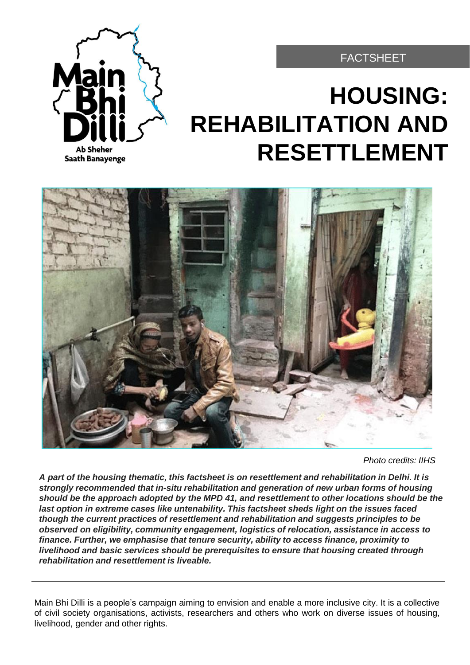

## FACTSHEET

# **HOUSING: REHABILITATION AND RESETTLEMENT**



*Photo credits: IIHS*

*A part of the housing thematic, this factsheet is on resettlement and rehabilitation in Delhi. It is strongly recommended that in-situ rehabilitation and generation of new urban forms of housing should be the approach adopted by the MPD 41, and resettlement to other locations should be the last option in extreme cases like untenability. This factsheet sheds light on the issues faced though the current practices of resettlement and rehabilitation and suggests principles to be observed on eligibility, community engagement, logistics of relocation, assistance in access to finance. Further, we emphasise that tenure security, ability to access finance, proximity to livelihood and basic services should be prerequisites to ensure that housing created through rehabilitation and resettlement is liveable.*

Main Bhi Dilli is a people's campaign aiming to envision and enable a more inclusive city. It is a collective of civil society organisations, activists, researchers and others who work on diverse issues of housing, livelihood, gender and other rights.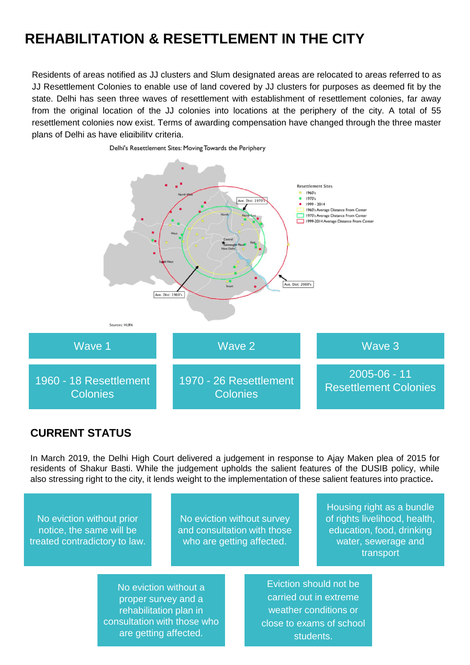## **REHABILITATION & RESETTLEMENT IN THE CITY**

Residents of areas notified as JJ clusters and Slum designated areas are relocated to areas referred to as JJ Resettlement Colonies to enable use of land covered by JJ clusters for purposes as deemed fit by the state. Delhi has seen three waves of resettlement with establishment of resettlement colonies, far away from the original location of the JJ colonies into locations at the periphery of the city. A total of 55 resettlement colonies now exist. Terms of awarding compensation have changed through the three master plans of Delhi as have eligibility criteria.



### **CURRENT STATUS**

In March 2019, the Delhi High Court delivered a judgement in response to Ajay Maken plea of 2015 for residents of Shakur Basti. While the judgement upholds the salient features of the DUSIB policy, while also stressing right to the city, it lends weight to the implementation of these salient features into practice**.**

No eviction without prior notice, the same will be treated contradictory to law.

No eviction without survey and consultation with those who are getting affected.

Housing right as a bundle of rights livelihood, health, education, food, drinking water, sewerage and transport

No eviction without a proper survey and a rehabilitation plan in consultation with those who are getting affected.

Eviction should not be carried out in extreme weather conditions or close to exams of school students.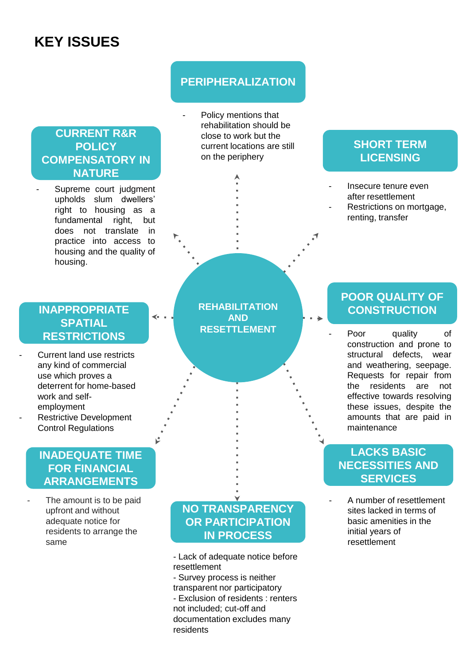## **KEY ISSUES**

## **CURRENT R&R POLICY COMPENSATORY IN NATURE**

Supreme court judgment upholds slum dwellers' right to housing as a fundamental right, but does not translate in practice into access to housing and the quality of housing.

### **INAPPROPRIATE SPATIAL RESTRICTIONS**

≺

Current land use restricts any kind of commercial use which proves a deterrent for home-based work and selfemployment Restrictive Development Control Regulations

## **INADEQUATE TIME FOR FINANCIAL ARRANGEMENTS**

The amount is to be paid upfront and without adequate notice for residents to arrange the same

## **PERIPHERALIZATION**

Policy mentions that rehabilitation should be close to work but the current locations are still on the periphery

## **SHORT TERM LICENSING**

- Insecure tenure even after resettlement
- Restrictions on mortgage, renting, transfer

**REHABILITATION AND RESETTLEMENT**

## **POOR QUALITY OF CONSTRUCTION**

Poor quality of construction and prone to structural defects, wear and weathering, seepage. Requests for repair from the residents are not effective towards resolving these issues, despite the amounts that are paid in maintenance

## **LACKS BASIC NECESSITIES AND SERVICES**

A number of resettlement sites lacked in terms of basic amenities in the initial years of resettlement

## **NO TRANSPARENCY OR PARTICIPATION IN PROCESS**

- Lack of adequate notice before resettlement
- Survey process is neither transparent nor participatory - Exclusion of residents : renters not included; cut-off and documentation excludes many residents